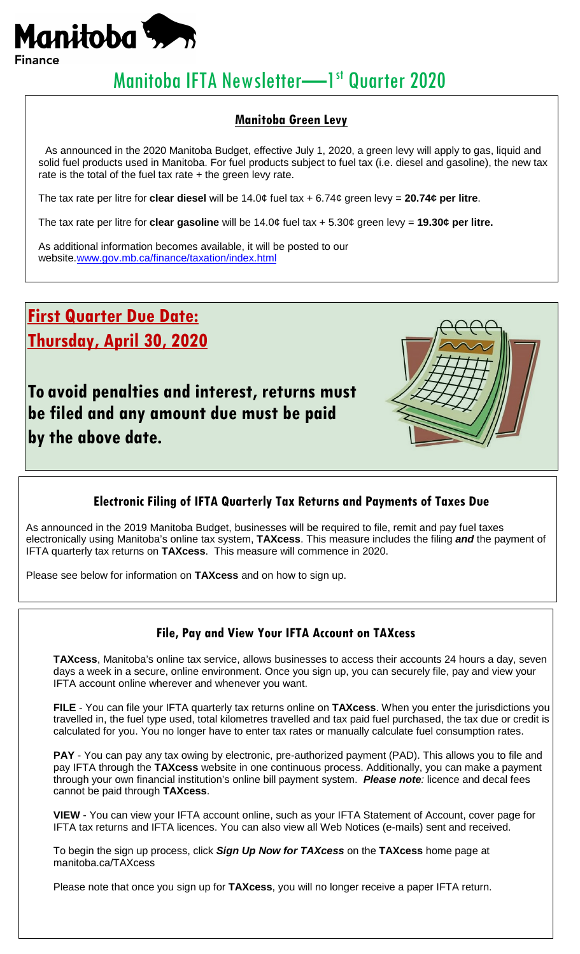

# Manitoba IFTA Newsletter-1st Quarter 2020

#### **Manitoba Green Levy**

As announced in the 2020 Manitoba Budget, effective July 1, 2020, a green levy will apply to gas, liquid and solid fuel products used in Manitoba. For fuel products subject to fuel tax (i.e. diesel and gasoline), the new tax rate is the total of the fuel tax rate  $+$  the green levy rate.

The tax rate per litre for **clear diesel** will be 14.0¢ fuel tax + 6.74¢ green levy = **20.74¢ per litre**.

The tax rate per litre for **clear gasoline** will be 14.0¢ fuel tax + 5.30¢ green levy = **19.30¢ per litre.**

As additional information becomes available, it will be posted to our website[.www.gov.mb.ca/finance/taxation/index.html](http://www.gov.mb.ca/finance/taxation/index.html)

**First Quarter Due Date: Thursday, April 30, 2020**

**To avoid penalties and interest, returns must be filed and any amount due must be paid by the above date.**



### **Electronic Filing of IFTA Quarterly Tax Returns and Payments of Taxes Due**

As announced in the 2019 Manitoba Budget, businesses will be required to file, remit and pay fuel taxes electronically using Manitoba's online tax system, **TAXcess**. This measure includes the filing *and* the payment of IFTA quarterly tax returns on **TAXcess**. This measure will commence in 2020.

Please see below for information on **TAXcess** and on how to sign up.

#### **File, Pay and View Your IFTA Account on TAXcess**

**TAXcess**, Manitoba's online tax service, allows businesses to access their accounts 24 hours a day, seven days a week in a secure, online environment. Once you sign up, you can securely file, pay and view your IFTA account online wherever and whenever you want.

**FILE** - You can file your IFTA quarterly tax returns online on **TAXcess**. When you enter the jurisdictions you travelled in, the fuel type used, total kilometres travelled and tax paid fuel purchased, the tax due or credit is calculated for you. You no longer have to enter tax rates or manually calculate fuel consumption rates.

**PAY** - You can pay any tax owing by electronic, pre-authorized payment (PAD). This allows you to file and pay IFTA through the **TAXcess** website in one continuous process. Additionally, you can make a payment through your own financial institution's online bill payment system. *Please note:* licence and decal fees cannot be paid through **TAXcess**.

**VIEW** - You can view your IFTA account online, such as your IFTA Statement of Account, cover page for IFTA tax returns and IFTA licences. You can also view all Web Notices (e-mails) sent and received.

To begin the sign up process, click *Sign Up Now for TAXcess* on the **TAXcess** home page at manitoba.ca/TAXcess

Please note that once you sign up for **TAXcess**, you will no longer receive a paper IFTA return.